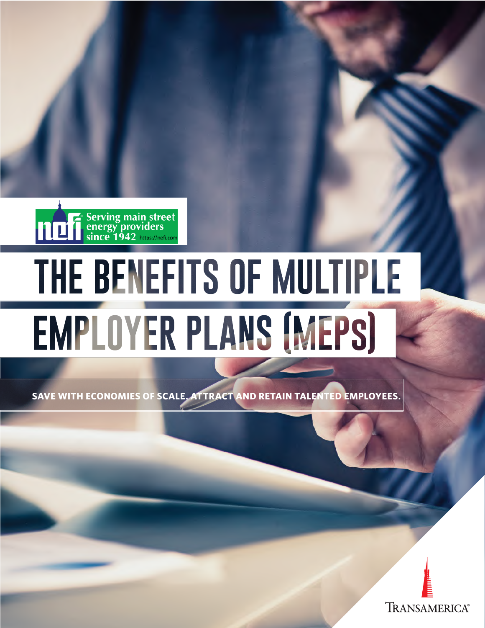

# THE BENEFITS OF MULTIPLE **EMPLOYER PLANS (MEPS)**

**SAVE WITH ECONOMIES OF SCALE. ATTRACT AND RETAIN TALENTED EMPLOYEES.** 

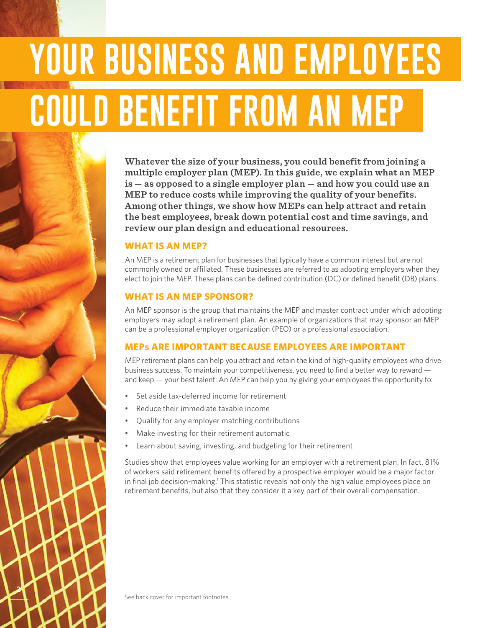## **YOUR BUSINESS AND EMPLOYEES COULD BENEFIT FROM AN MEP**

**Whatever the size of your business, you could benefit from joining a multiple employer plan (MEP). In this guide, we explain what an MEP is — as opposed to a single employer plan — and how you could use an MEP to reduce costs while improving the quality of your benefits. Among other things, we show how MEPs can help attract and retain the best employees, break down potential cost and time savings, and review our plan design and educational resources.** 

#### **WHAT IS AN MEP?**

An MEP is a retirement plan for businesses that typically have a common interest but are not commonly owned or affiliated. These businesses are referred to as adopting employers when they elect to join the MEP. These plans can be defined contribution (DC) or defined benefit (DB) plans.

#### **WHAT IS AN MEP SPONSOR?**

An MEP sponsor is the group that maintains the MEP and master contract under which adopting employers may adopt a retirement plan. An example of organizations that may sponsor an MEP can be a professional employer organization (PEO) or a professional association.

#### **MEPs ARE IMPORTANT BECAUSE EMPLOYEES ARE IMPORTANT**

MEP retirement plans can help you attract and retain the kind of high-quality employees who drive business success. To maintain your competitiveness, you need to find a better way to reward and keep — your best talent. An MEP can help you by giving your employees the opportunity to:

- Set aside tax-deferred income for retirement
- Reduce their immediate taxable income
- Qualify for any employer matching contributions
- Make investing for their retirement automatic
- Learn about saving, investing, and budgeting for their retirement

Studies show that employees value working for an employer with a retirement plan. In fact, 81% of workers said retirement benefits offered by a prospective employer would be a major factor in final job decision-making.<sup>1</sup> This statistic reveals not only the high value employees place on retirement benefits, but also that they consider it a key part of their overall compensation.

**2**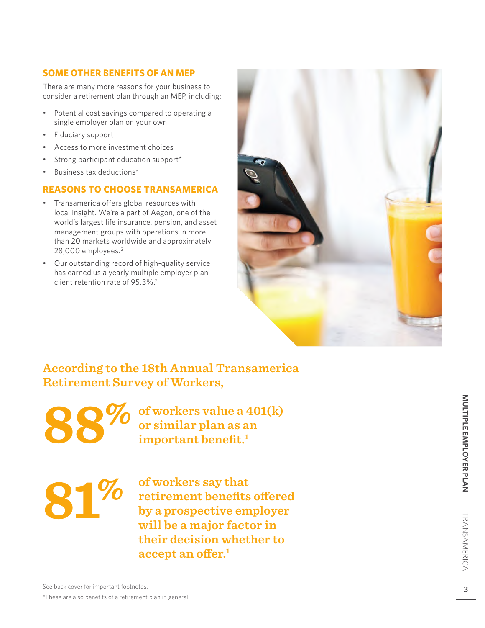#### **SOME OTHER BENEFITS OF AN MEP**

There are many more reasons for your business to consider a retirement plan through an MEP, including:

- Potential cost savings compared to operating a single employer plan on your own
- Fiduciary support
- Access to more investment choices
- Strong participant education support\*
- Business tax deductions\*

#### **REASONS TO CHOOSE TRANSAMERICA**

- Transamerica offers global resources with local insight. We're a part of Aegon, one of the world's largest life insurance, pension, and asset management groups with operations in more than 20 markets worldwide and approximately 28,000 employees. 2
- Our outstanding record of high-quality service has earned us a yearly multiple employer plan client retention rate of 95.3%. 2



### **According to the 18th Annual Transamerica Retirement Survey of Workers,**

**88 %**

**of workers value a 401(k) or similar plan as an important benefit. 1**

# **81%**

**of workers say that retirement benefits offered by a prospective employer will be a major factor in their decision whether to accept an offer. 1**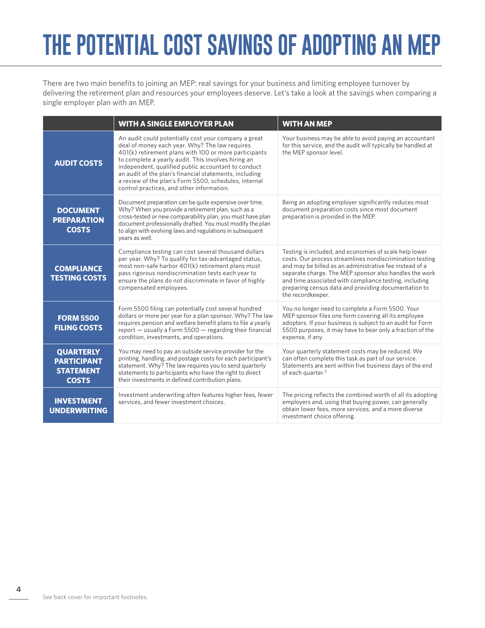## **THE POTENTIAL COST SAVINGS OF ADOPTING AN MEP**

There are two main benefits to joining an MEP: real savings for your business and limiting employee turnover by delivering the retirement plan and resources your employees deserve. Let's take a look at the savings when comparing a single employer plan with an MEP.

|                                                                            | <b>WITH A SINGLE EMPLOYER PLAN</b>                                                                                                                                                                                                                                                                                                                                                                                                            | <b>WITH AN MEP</b>                                                                                                                                                                                                                                                                                                                                                             |
|----------------------------------------------------------------------------|-----------------------------------------------------------------------------------------------------------------------------------------------------------------------------------------------------------------------------------------------------------------------------------------------------------------------------------------------------------------------------------------------------------------------------------------------|--------------------------------------------------------------------------------------------------------------------------------------------------------------------------------------------------------------------------------------------------------------------------------------------------------------------------------------------------------------------------------|
| <b>AUDIT COSTS</b>                                                         | An audit could potentially cost your company a great<br>deal of money each year. Why? The law requires<br>401(k) retirement plans with 100 or more participants<br>to complete a yearly audit. This involves hiring an<br>independent, qualified public accountant to conduct<br>an audit of the plan's financial statements, including<br>a review of the plan's Form 5500, schedules, internal<br>control practices, and other information. | Your business may be able to avoid paying an accountant<br>for this service, and the audit will typically be handled at<br>the MEP sponsor level.                                                                                                                                                                                                                              |
| <b>DOCUMENT</b><br><b>PREPARATION</b><br><b>COSTS</b>                      | Document preparation can be quite expensive over time.<br>Why? When you provide a retirement plan, such as a<br>cross-tested or new comparability plan, you must have plan<br>document professionally drafted. You must modify the plan<br>to align with evolving laws and regulations in subsequent<br>years as well.                                                                                                                        | Being an adopting employer significantly reduces most<br>document preparation costs since most document<br>preparation is provided in the MEP.                                                                                                                                                                                                                                 |
| <b>COMPLIANCE</b><br><b>TESTING COSTS</b>                                  | Compliance testing can cost several thousand dollars<br>per year. Why? To qualify for tax-advantaged status,<br>most non-safe harbor 401(k) retirement plans must<br>pass rigorous nondiscrimination tests each year to<br>ensure the plans do not discriminate in favor of highly<br>compensated employees.                                                                                                                                  | Testing is included, and economies of scale help lower<br>costs. Our process streamlines nondiscrimination testing<br>and may be billed as an administrative fee instead of a<br>separate charge. The MEP sponsor also handles the work<br>and time associated with compliance testing, including<br>preparing census data and providing documentation to<br>the recordkeeper. |
| <b>FORM 5500</b><br><b>FILING COSTS</b>                                    | Form 5500 filing can potentially cost several hundred<br>dollars or more per year for a plan sponsor. Why? The law<br>requires pension and welfare benefit plans to file a yearly<br>report - usually a Form 5500 - regarding their financial<br>condition, investments, and operations.                                                                                                                                                      | You no longer need to complete a Form 5500. Your<br>MEP sponsor files one form covering all its employee<br>adopters. If your business is subject to an audit for Form<br>5500 purposes, it may have to bear only a fraction of the<br>expense, if any.                                                                                                                        |
| <b>QUARTERLY</b><br><b>PARTICIPANT</b><br><b>STATEMENT</b><br><b>COSTS</b> | You may need to pay an outside service provider for the<br>printing, handling, and postage costs for each participant's<br>statement. Why? The law requires you to send quarterly<br>statements to participants who have the right to direct<br>their investments in defined contribution plans.                                                                                                                                              | Your quarterly statement costs may be reduced. We<br>can often complete this task as part of our service.<br>Statements are sent within five business days of the end<br>of each quarter. <sup>3</sup>                                                                                                                                                                         |
| <b>INVESTMENT</b><br><b>UNDERWRITING</b>                                   | Investment underwriting often features higher fees, fewer<br>services, and fewer investment choices.                                                                                                                                                                                                                                                                                                                                          | The pricing reflects the combined worth of all its adopting<br>employers and, using that buying power, can generally<br>obtain lower fees, more services, and a more diverse<br>investment choice offering.                                                                                                                                                                    |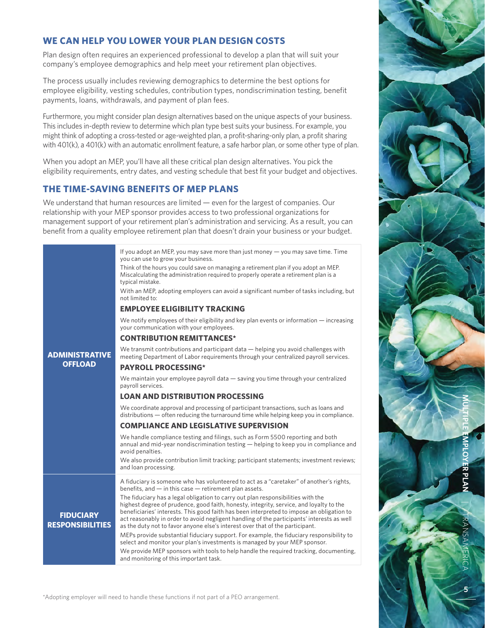#### **WE CAN HELP YOU LOWER YOUR PLAN DESIGN COSTS**

Plan design often requires an experienced professional to develop a plan that will suit your company's employee demographics and help meet your retirement plan objectives.

The process usually includes reviewing demographics to determine the best options for employee eligibility, vesting schedules, contribution types, nondiscrimination testing, benefit payments, loans, withdrawals, and payment of plan fees.

Furthermore, you might consider plan design alternatives based on the unique aspects of your business. This includes in-depth review to determine which plan type best suits your business. For example, you might think of adopting a cross-tested or age-weighted plan, a profit-sharing-only plan, a profit sharing with 401(k), a 401(k) with an automatic enrollment feature, a safe harbor plan, or some other type of plan.

When you adopt an MEP, you'll have all these critical plan design alternatives. You pick the eligibility requirements, entry dates, and vesting schedule that best fit your budget and objectives.

#### **THE TIME-SAVING BENEFITS OF MEP PLANS**

We understand that human resources are limited — even for the largest of companies. Our relationship with your MEP sponsor provides access to two professional organizations for management support of your retirement plan's administration and servicing. As a result, you can benefit from a quality employee retirement plan that doesn't drain your business or your budget.

| With an MEP, adopting employers can avoid a significant number of tasks including, but                                                                                                                                                                                                                                                                                                                                                                                  |  |  |
|-------------------------------------------------------------------------------------------------------------------------------------------------------------------------------------------------------------------------------------------------------------------------------------------------------------------------------------------------------------------------------------------------------------------------------------------------------------------------|--|--|
| not limited to:<br><b>EMPLOYEE ELIGIBILITY TRACKING</b>                                                                                                                                                                                                                                                                                                                                                                                                                 |  |  |
| We notify employees of their eligibility and key plan events or information $-$ increasing                                                                                                                                                                                                                                                                                                                                                                              |  |  |
|                                                                                                                                                                                                                                                                                                                                                                                                                                                                         |  |  |
|                                                                                                                                                                                                                                                                                                                                                                                                                                                                         |  |  |
|                                                                                                                                                                                                                                                                                                                                                                                                                                                                         |  |  |
|                                                                                                                                                                                                                                                                                                                                                                                                                                                                         |  |  |
| <b>LOAN AND DISTRIBUTION PROCESSING</b>                                                                                                                                                                                                                                                                                                                                                                                                                                 |  |  |
| distributions — often reducing the turnaround time while helping keep you in compliance.                                                                                                                                                                                                                                                                                                                                                                                |  |  |
| <b>COMPLIANCE AND LEGISLATIVE SUPERVISION</b>                                                                                                                                                                                                                                                                                                                                                                                                                           |  |  |
| annual and mid-year nondiscrimination testing $-$ helping to keep you in compliance and                                                                                                                                                                                                                                                                                                                                                                                 |  |  |
| We also provide contribution limit tracking; participant statements; investment reviews;                                                                                                                                                                                                                                                                                                                                                                                |  |  |
| A fiduciary is someone who has volunteered to act as a "caretaker" of another's rights,<br>beneficiaries' interests. This good faith has been interpreted to impose an obligation to<br>act reasonably in order to avoid negligent handling of the participants' interests as well<br>MEPs provide substantial fiduciary support. For example, the fiduciary responsibility to<br>We provide MEP sponsors with tools to help handle the required tracking, documenting, |  |  |
| meeting Department of Labor requirements through your centralized payroll services.                                                                                                                                                                                                                                                                                                                                                                                     |  |  |

\*Adopting employer will need to handle these functions if not part of a PEO arrangement.

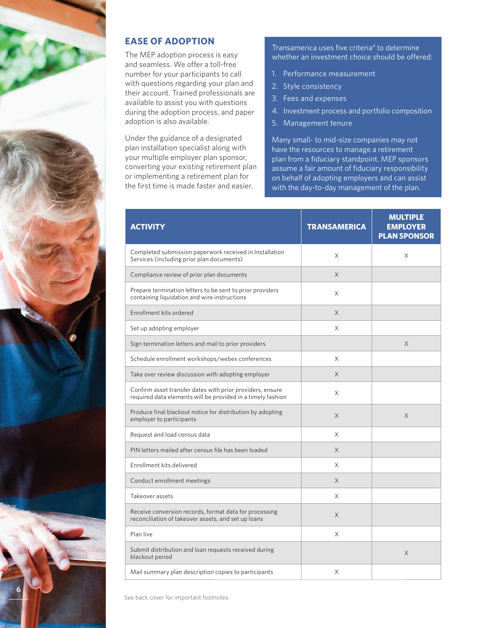

#### **EASE OF ADOPTION**

The MEP adoption process is easy and seamless. We offer a toll-free number for your participants to call with questions regarding your plan and their account. Trained professionals are available to assist you with questions during the adoption process, and paper adoption is also available.

Under the guidance of a designated plan installation specialist along with your multiple employer plan sponsor, converting your existing retirement plan or implementing a retirement plan for the first time is made faster and easier.

Transamerica uses five criteria<sup>4</sup> to determine whether an investment choice should be offered:

- 1. Performance measurement
- 2. Style consistency
- 3. Fees and expenses
- 4. Investment process and portfolio composition
- 5. Management tenure

Many small- to mid-size companies may not have the resources to manage a retirement plan from a fiduciary standpoint. MEP sponsors assume a fair amount of fiduciary responsibility on behalf of adopting employers and can assist with the day-to-day management of the plan.

| <b>ACTIVITY</b>                                                                                                          | <b>TRANSAMERICA</b> | <b>MULTIPLE</b><br><b>EMPLOYER</b><br><b>PLAN SPONSOR</b> |
|--------------------------------------------------------------------------------------------------------------------------|---------------------|-----------------------------------------------------------|
| Completed submission paperwork received in Installation<br>Services (including prior plan documents)                     | X                   | X                                                         |
| Compliance review of prior plan documents                                                                                | X                   |                                                           |
| Prepare termination letters to be sent to prior providers<br>containing liquidation and wire instructions                | X                   |                                                           |
| Enrollment kits ordered                                                                                                  | X                   |                                                           |
| Set up adopting employer                                                                                                 | X                   |                                                           |
| Sign termination letters and mail to prior providers                                                                     |                     | X                                                         |
| Schedule enrollment workshops/webex conferences                                                                          | X                   |                                                           |
| Take over review discussion with adopting employer                                                                       | X                   |                                                           |
| Confirm asset transfer dates with prior providers, ensure<br>required data elements will be provided in a timely fashion | X                   |                                                           |
| Produce final blackout notice for distribution by adopting<br>employer to participants                                   | X                   | X                                                         |
| Request and load census data                                                                                             | X                   |                                                           |
| PIN letters mailed after census file has been loaded                                                                     | X                   |                                                           |
| Enrollment kits delivered                                                                                                | X                   |                                                           |
| Conduct enrollment meetings                                                                                              | X                   |                                                           |
| Takeover assets                                                                                                          | X                   |                                                           |
| Receive conversion records, format data for processing<br>reconciliation of takeover assets, and set up loans            | X                   |                                                           |
| Plan live                                                                                                                | X                   |                                                           |
| Submit distribution and loan requests received during<br>blackout period                                                 |                     | X                                                         |
| Mail summary plan description copies to participants                                                                     | X                   |                                                           |

See back cover for important footnotes.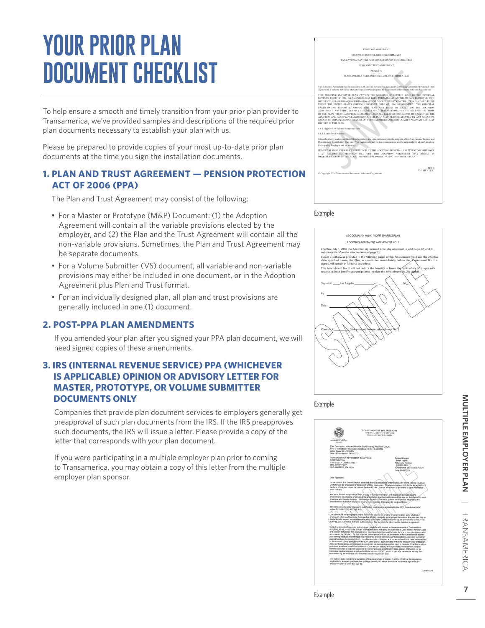### **YOUR PRIOR PLAN DOCUMENT CHECKLIST**

To help ensure a smooth and timely transition from your prior plan provider to Transamerica, we've provided samples and descriptions of the required prior plan documents necessary to establish your plan with us.

Please be prepared to provide copies of your most up-to-date prior plan documents at the time you sign the installation documents.

#### **1. PLAN AND TRUST AGREEMENT — PENSION PROTECTION ACT OF 2006 (PPA)**

The Plan and Trust Agreement may consist of the following:

- For a Master or Prototype (M&P) Document: (1) the Adoption Agreement will contain all the variable provisions elected by the employer, and (2) the Plan and the Trust Agreement will contain all the non-variable provisions. Sometimes, the Plan and Trust Agreement may be separate documents.
- For a Volume Submitter (VS) document, all variable and non-variable provisions may either be included in one document, or in the Adoption Agreement plus Plan and Trust format.
- For an individually designed plan, all plan and trust provisions are generally included in one (1) document.

#### **2. POST-PPA PLAN AMENDMENTS**

If you amended your plan after you signed your PPA plan document, we will need signed copies of these amendments.

#### **3. IRS (INTERNAL REVENUE SERVICE) PPA (WHICHEVER IS APPLICABLE) OPINION OR ADVISORY LETTER FOR MASTER, PROTOTYPE, OR VOLUME SUBMITTER DOCUMENTS ONLY**

Companies that provide plan document services to employers generally get preapproval of such plan documents from the IRS. If the IRS preapproves such documents, the IRS will issue a letter. Please provide a copy of the letter that corresponds with your plan document.

If you were participating in a multiple employer plan prior to coming to Transamerica, you may obtain a copy of this letter from the multiple employer plan sponsor.

| ADOPTION AGREEMENT                                                                                                                                                                                                                                                                                                                                                                                                                                                                                                                                                                                                                                                                                                                                                                                                     |
|------------------------------------------------------------------------------------------------------------------------------------------------------------------------------------------------------------------------------------------------------------------------------------------------------------------------------------------------------------------------------------------------------------------------------------------------------------------------------------------------------------------------------------------------------------------------------------------------------------------------------------------------------------------------------------------------------------------------------------------------------------------------------------------------------------------------|
| VOLUME SUBMITTER MULTIPLE EMPLOYER                                                                                                                                                                                                                                                                                                                                                                                                                                                                                                                                                                                                                                                                                                                                                                                     |
| TAX-FAVORED SAVINGS AND DISCRETIONARY CONTRIBUTION                                                                                                                                                                                                                                                                                                                                                                                                                                                                                                                                                                                                                                                                                                                                                                     |
| PLAN AND TRUST AGREEMENT                                                                                                                                                                                                                                                                                                                                                                                                                                                                                                                                                                                                                                                                                                                                                                                               |
| Prepared by                                                                                                                                                                                                                                                                                                                                                                                                                                                                                                                                                                                                                                                                                                                                                                                                            |
| TRANSAMERICA RETIREMENT SOLUTIONS CORPORATION                                                                                                                                                                                                                                                                                                                                                                                                                                                                                                                                                                                                                                                                                                                                                                          |
|                                                                                                                                                                                                                                                                                                                                                                                                                                                                                                                                                                                                                                                                                                                                                                                                                        |
| This Adoption Agreement may be used only with the Tax-Favored Savings and Discretionary Contribution Plan and Trust<br>Agreement, a Volume Submitter Multiple Employer Plan prepared by Transamerica Retirement Solutions Corporation.                                                                                                                                                                                                                                                                                                                                                                                                                                                                                                                                                                                 |
| THIS MULTIPLE EMPLOYER PLAN (WITHIN THE MEANING OF SECTION 413(c) OF THE INTERNAL<br>REVENUE CODE OF 1986. AS AMENDEDI HAS BEEN PREPARED AS AN AID TO ANY EMPLOYER WHO<br>DESIRES TO ESTABLISH A OUALIFIED 401(k) AND/OR DISCRETIONARY CONTRIBUTION PLAN AND TRUST<br>UNDER THE UNITED STATES INTERNAL REVENUE CODE OF 1986. AS AMENDED. THE PRINCIPAL<br>PARTICIPATING EMPLOYER ADOPTS THIS PLAN AND TRUST BY EXECUTING THE ADOPTION<br>AGREEMENT. ANY EMPLOYER MAY BECOME A PARTICIPATING EMPLOYER IF IT ACCEPTS THE TERMS<br>OF THE PLAN. TRUST. ADOPTION AGREEMENT AND ALL RELATED DOCUMENTS BY EXECUTING THE<br>ADOPTION AND ACCEPTANCE AGREEMENT. THIS PLAN MAY ALSO BE ADOPTED BY ANY GROUP OR<br>GROUPS OF EMPLOYERS ONE OR MORE OF WHOSE MEMBERS DOES NOT OUALIFY AS AN AFFILIATE. AS<br>DEFINED IN THIS PLAN |
| I.R.S. Approval of Volume Submitter Form:                                                                                                                                                                                                                                                                                                                                                                                                                                                                                                                                                                                                                                                                                                                                                                              |
| <b>LR.S. Letter Serial Number:</b>                                                                                                                                                                                                                                                                                                                                                                                                                                                                                                                                                                                                                                                                                                                                                                                     |
| It must be clearly understood that all legal questions and opinions concerning the adoption of this Tax-Favored Savings and<br>Discretionary Contribution Plan and Trust Agreement and its tax consequences are the responsibility of each adopting<br>Participating Employer and its attorney.                                                                                                                                                                                                                                                                                                                                                                                                                                                                                                                        |
| IT MUST ALSO BE CLEARLY UNDERSTOOD BY THE ADOPTING PRINCIPAL PARTICIPATING EMPLOYER<br>THAT FAILURE TO PROPERLY FILL OUT THIS ADOPTION AGREEMENT MAY RESULT IN<br>DISOUALIFICATION OF THE ADOPTING PRINCIPAL PARTICIPATING EMPLOYER'S PLAN.                                                                                                                                                                                                                                                                                                                                                                                                                                                                                                                                                                            |
| PPA <sub>II</sub><br>Vol. ME, TRSC<br>C Convright 2014 Transamerica Retirement Solutions Corporation                                                                                                                                                                                                                                                                                                                                                                                                                                                                                                                                                                                                                                                                                                                   |
|                                                                                                                                                                                                                                                                                                                                                                                                                                                                                                                                                                                                                                                                                                                                                                                                                        |
|                                                                                                                                                                                                                                                                                                                                                                                                                                                                                                                                                                                                                                                                                                                                                                                                                        |







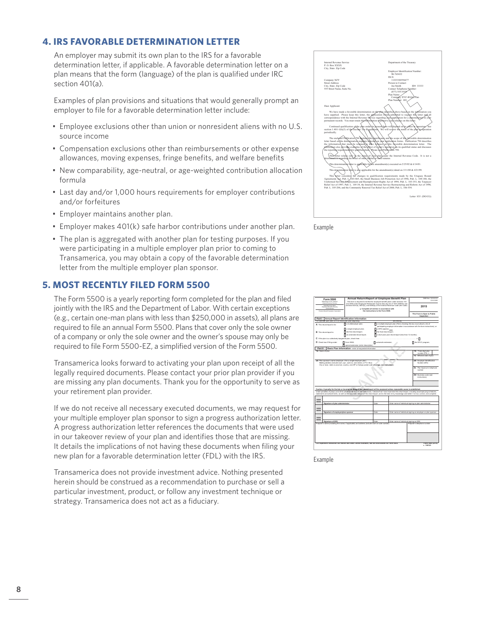#### **4. IRS FAVORABLE DETERMINATION LETTER**

An employer may submit its own plan to the IRS for a favorable determination letter, if applicable. A favorable determination letter on a plan means that the form (language) of the plan is qualified under IRC section 401(a).

Examples of plan provisions and situations that would generally prompt an employer to file for a favorable determination letter include:

- Employee exclusions other than union or nonresident aliens with no U.S. source income
- Compensation exclusions other than reimbursements or other expense allowances, moving expenses, fringe benefits, and welfare benefits
- New comparability, age-neutral, or age-weighted contribution allocation formula
- Last day and/or 1,000 hours requirements for employer contributions and/or forfeitures
- Employer maintains another plan.
- Employer makes 401(k) safe harbor contributions under another plan.
- The plan is aggregated with another plan for testing purposes. If you were participating in a multiple employer plan prior to coming to Transamerica, you may obtain a copy of the favorable determination letter from the multiple employer plan sponsor.

#### **5. MOST RECENTLY FILED FORM 5500**

The Form 5500 is a yearly reporting form completed for the plan and filed jointly with the IRS and the Department of Labor. With certain exceptions (e.g., certain one-man plans with less than \$250,000 in assets), all plans are required to file an annual Form 5500. Plans that cover only the sole owner of a company or only the sole owner and the owner's spouse may only be required to file Form 5500-EZ, a simplified version of the Form 5500.

Transamerica looks forward to activating your plan upon receipt of all the legally required documents. Please contact your prior plan provider if you are missing any plan documents. Thank you for the opportunity to serve as your retirement plan provider.

If we do not receive all necessary executed documents, we may request for your multiple employer plan sponsor to sign a progress authorization letter. A progress authorization letter references the documents that were used in our takeover review of your plan and identifies those that are missing. It details the implications of not having these documents when filing your new plan for a favorable determination letter (FDL) with the IRS.

Transamerica does not provide investment advice. Nothing presented herein should be construed as a recommendation to purchase or sell a particular investment, product, or follow any investment technique or strategy. Transamerica does not act as a fiduciary.



Example



Example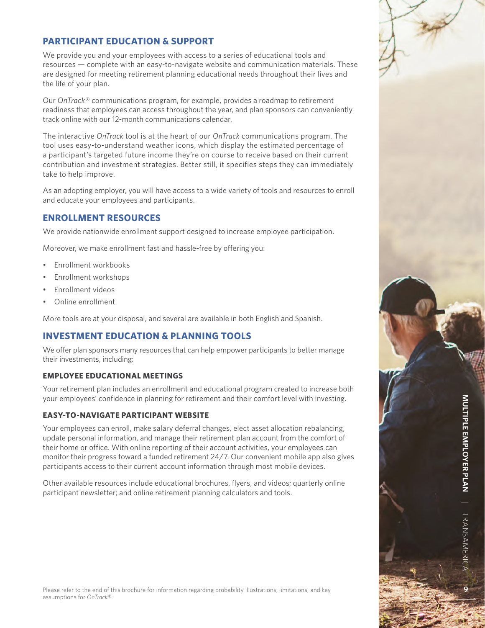#### **PARTICIPANT EDUCATION & SUPPORT**

We provide you and your employees with access to a series of educational tools and resources — complete with an easy-to-navigate website and communication materials. These are designed for meeting retirement planning educational needs throughout their lives and the life of your plan.

Our *OnTrack*® communications program, for example, provides a roadmap to retirement readiness that employees can access throughout the year, and plan sponsors can conveniently track online with our 12-month communications calendar.

The interactive *OnTrack* tool is at the heart of our *OnTrack* communications program. The tool uses easy-to-understand weather icons, which display the estimated percentage of a participant's targeted future income they're on course to receive based on their current contribution and investment strategies. Better still, it specifies steps they can immediately take to help improve.

As an adopting employer, you will have access to a wide variety of tools and resources to enroll and educate your employees and participants.

#### **ENROLLMENT RESOURCES**

We provide nationwide enrollment support designed to increase employee participation.

Moreover, we make enrollment fast and hassle-free by offering you:

- Enrollment workbooks
- Enrollment workshops
- Enrollment videos
- Online enrollment

More tools are at your disposal, and several are available in both English and Spanish.

#### **INVESTMENT EDUCATION & PLANNING TOOLS**

We offer plan sponsors many resources that can help empower participants to better manage their investments, including:

#### **EMPLOYEE EDUCATIONAL MEETINGS**

Your retirement plan includes an enrollment and educational program created to increase both your employees' confidence in planning for retirement and their comfort level with investing.

#### **EASY-TO-NAVIGATE PARTICIPANT WEBSITE**

Your employees can enroll, make salary deferral changes, elect asset allocation rebalancing, update personal information, and manage their retirement plan account from the comfort of their home or office. With online reporting of their account activities, your employees can monitor their progress toward a funded retirement 24/7. Our convenient mobile app also gives participants access to their current account information through most mobile devices.

Other available resources include educational brochures, flyers, and videos; quarterly online participant newsletter; and online retirement planning calculators and tools.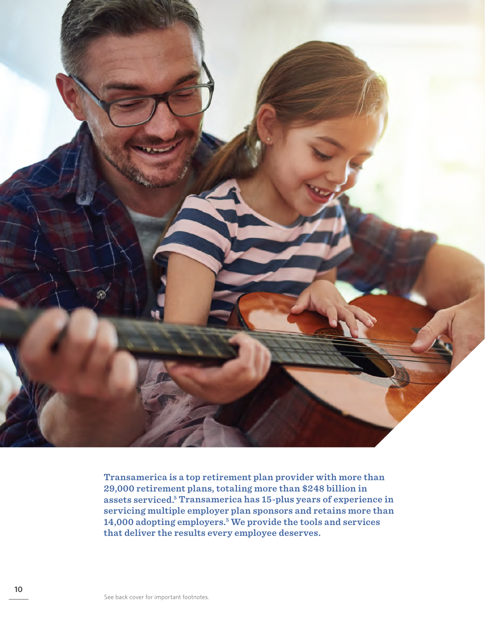

**Transamerica is a top retirement plan provider with more than 29,000 retirement plans, totaling more than \$248 billion in assets serviced.5 Transamerica has 15-plus years of experience in servicing multiple employer plan sponsors and retains more than 14,000 adopting employers.5 We provide the tools and services that deliver the results every employee deserves.**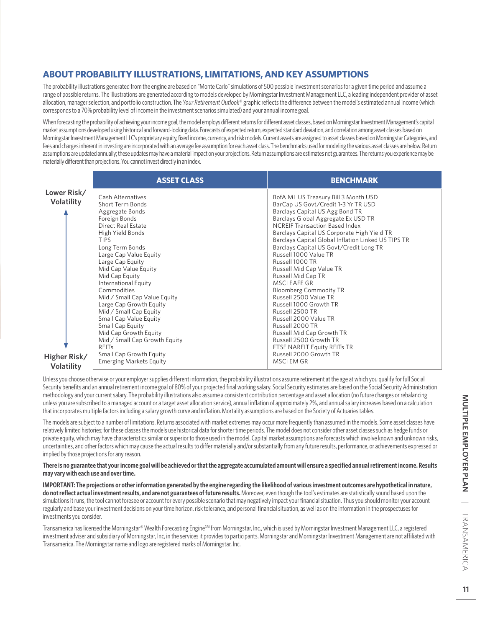#### **ABOUT PROBABILITY ILLUSTRATIONS, LIMITATIONS, AND KEY ASSUMPTIONS**

The probability illustrations generated from the engine are based on "Monte Carlo" simulations of 500 possible investment scenarios for a given time period and assume a range of possible returns. The illustrations are generated according to models developed by Morningstar Investment Management LLC, a leading independent provider of asset allocation, manager selection, and portfolio construction. The *Your Retirement Outlook*® graphic reflects the difference between the model's estimated annual income (which corresponds to a 70% probability level of income in the investment scenarios simulated) and your annual income goal.

When forecasting the probability of achieving your income goal, the model employs different returns for different asset classes, based on Morningstar Investment Management's capital market assumptions developed using historical and forward-looking data. Forecasts of expected return, expected standard deviation, and correlation among asset classes based on Morningstar Investment Management LLC's proprietary equity, fixed income, currency, and risk models. Current assets are assigned to asset classes based on Morningstar Categories, and fees and charges inherent in investing are incorporated with an average fee assumption for each asset class. The benchmarks used for modeling the various asset classes are below. Return assumptions are updated annually; these updates may have a material impact on your projections. Return assumptions are estimates not guarantees. The returns you experience may be materially different than projections. You cannot invest directly in an index.

|                                                  | <b>ASSET CLASS</b>                                                                                                                                                                                                                                                                                                                                                                                                                                                                                                                                                    | <b>BENCHMARK</b>                                                                                                                                                                                                                                                                                                                                                                                                                                                                                                                                                                                                                                                                                                                                      |
|--------------------------------------------------|-----------------------------------------------------------------------------------------------------------------------------------------------------------------------------------------------------------------------------------------------------------------------------------------------------------------------------------------------------------------------------------------------------------------------------------------------------------------------------------------------------------------------------------------------------------------------|-------------------------------------------------------------------------------------------------------------------------------------------------------------------------------------------------------------------------------------------------------------------------------------------------------------------------------------------------------------------------------------------------------------------------------------------------------------------------------------------------------------------------------------------------------------------------------------------------------------------------------------------------------------------------------------------------------------------------------------------------------|
| Lower Risk/<br><b>Volatility</b><br>Higher Risk/ | Cash Alternatives<br>Short Term Bonds<br>Aggregate Bonds<br>Foreign Bonds<br>Direct Real Estate<br>High Yield Bonds<br><b>TIPS</b><br>Long Term Bonds<br>Large Cap Value Equity<br>Large Cap Equity<br>Mid Cap Value Equity<br>Mid Cap Equity<br><b>International Equity</b><br>Commodities<br>Mid / Small Cap Value Equity<br>Large Cap Growth Equity<br>Mid / Small Cap Equity<br>Small Cap Value Equity<br>Small Cap Equity<br>Mid Cap Growth Equity<br>Mid / Small Cap Growth Equity<br><b>REITS</b><br>Small Cap Growth Equity<br><b>Emerging Markets Equity</b> | BofA ML US Treasury Bill 3 Month USD<br>BarCap US Govt/Credit 1-3 Yr TR USD<br>Barclays Capital US Agg Bond TR<br>Barclays Global Aggregate Ex USD TR<br><b>NCREIF Transaction Based Index</b><br>Barclays Capital US Corporate High Yield TR<br>Barclays Capital Global Inflation Linked US TIPS TR<br>Barclays Capital US Govt/Credit Long TR<br>Russell 1000 Value TR<br>Russell 1000 TR<br>Russell Mid Cap Value TR<br>Russell Mid Cap TR<br><b>MSCI EAFE GR</b><br><b>Bloomberg Commodity TR</b><br>Russell 2500 Value TR<br>Russell 1000 Growth TR<br>Russell 2500 TR<br>Russell 2000 Value TR<br>Russell 2000 TR<br>Russell Mid Cap Growth TR<br>Russell 2500 Growth TR<br>FTSE NAREIT Equity REITs TR<br>Russell 2000 Growth TR<br>MSCI EM GR |
| Volatilitv                                       |                                                                                                                                                                                                                                                                                                                                                                                                                                                                                                                                                                       |                                                                                                                                                                                                                                                                                                                                                                                                                                                                                                                                                                                                                                                                                                                                                       |

Unless you choose otherwise or your employer supplies different information, the probability illustrations assume retirement at the age at which you qualify for full Social **Volatility**Security benefits and an annual retirement income goal of 80% of your projected final working salary. Social Security estimates are based on the Social Security Administration methodology and your current salary. The probability illustrations also assume a consistent contribution percentage and asset allocation (no future changes or rebalancing unless you are subscribed to a managed account or a target asset allocation service), annual inflation of approximately 2%, and annual salary increases based on a calculation that incorporates multiple factors including a salary growth curve and inflation. Mortality assumptions are based on the Society of Actuaries tables.

The models are subject to a number of limitations. Returns associated with market extremes may occur more frequently than assumed in the models. Some asset classes have relatively limited histories; for these classes the models use historical data for shorter time periods. The model does not consider other asset classes such as hedge funds or private equity, which may have characteristics similar or superior to those used in the model. Capital market assumptions are forecasts which involve known and unknown risks, uncertainties, and other factors which may cause the actual results to differ materially and/or substantially from any future results, performance, or achievements expressed or implied by those projections for any reason.

#### **There is no guarantee that your income goal will be achieved or that the aggregate accumulated amount will ensure a specified annual retirement income. Results may vary with each use and over time.**

**IMPORTANT: The projections or other information generated by the engine regarding the likelihood of various investment outcomes are hypothetical in nature, do not reflect actual investment results, and are not guarantees of future results.** Moreover, even though the tool's estimates are statistically sound based upon the simulations it runs, the tool cannot foresee or account for every possible scenario that may negatively impact your financial situation. Thus you should monitor your account regularly and base your investment decisions on your time horizon, risk tolerance, and personal financial situation, as well as on the information in the prospectuses for investments you consider.

Transamerica has licensed the Morningstar® Wealth Forecasting Engine<sup>SM</sup> from Morningstar, Inc., which is used by Morningstar Investment Management LLC, a registered investment adviser and subsidiary of Morningstar, Inc, in the services it provides to participants. Morningstar and Morningstar Investment Management are not affiliated with Transamerica. The Morningstar name and logo are registered marks of Morningstar, Inc.